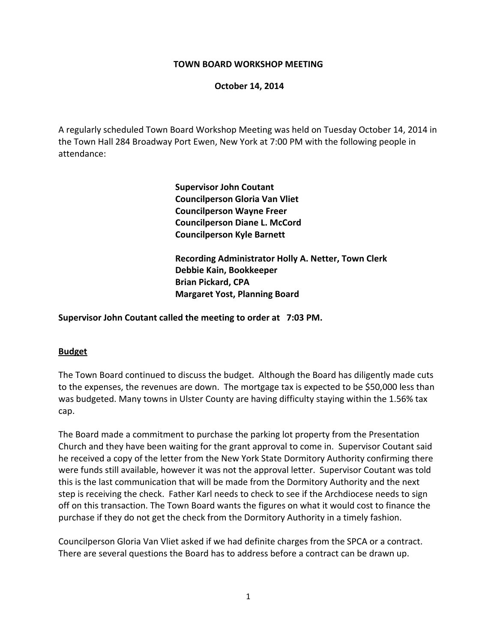#### **TOWN BOARD WORKSHOP MEETING**

#### **October 14, 2014**

A regularly scheduled Town Board Workshop Meeting was held on Tuesday October 14, 2014 in the Town Hall 284 Broadway Port Ewen, New York at 7:00 PM with the following people in attendance:

> **Supervisor John Coutant Councilperson Gloria Van Vliet Councilperson Wayne Freer Councilperson Diane L. McCord Councilperson Kyle Barnett**

 **Recording Administrator Holly A. Netter, Town Clerk Debbie Kain, Bookkeeper Brian Pickard, CPA Margaret Yost, Planning Board**

**Supervisor John Coutant called the meeting to order at 7:03 PM.**

#### **Budget**

The Town Board continued to discuss the budget. Although the Board has diligently made cuts to the expenses, the revenues are down. The mortgage tax is expected to be \$50,000 less than was budgeted. Many towns in Ulster County are having difficulty staying within the 1.56% tax cap.

The Board made a commitment to purchase the parking lot property from the Presentation Church and they have been waiting for the grant approval to come in. Supervisor Coutant said he received a copy of the letter from the New York State Dormitory Authority confirming there were funds still available, however it was not the approval letter. Supervisor Coutant was told this is the last communication that will be made from the Dormitory Authority and the next step is receiving the check. Father Karl needs to check to see if the Archdiocese needs to sign off on this transaction. The Town Board wants the figures on what it would cost to finance the purchase if they do not get the check from the Dormitory Authority in a timely fashion.

Councilperson Gloria Van Vliet asked if we had definite charges from the SPCA or a contract. There are several questions the Board has to address before a contract can be drawn up.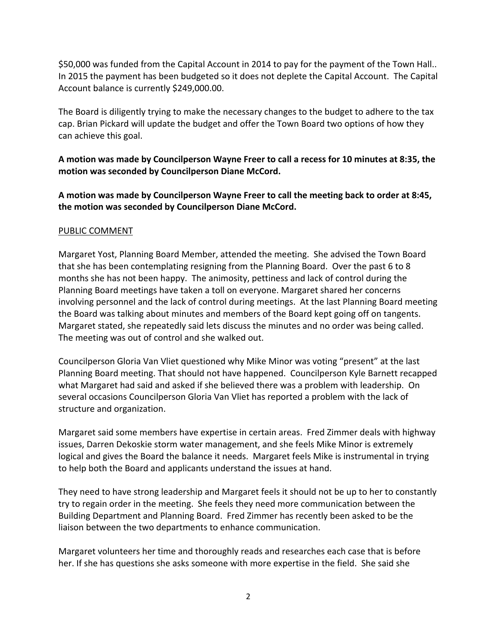\$50,000 was funded from the Capital Account in 2014 to pay for the payment of the Town Hall.. In 2015 the payment has been budgeted so it does not deplete the Capital Account. The Capital Account balance is currently \$249,000.00.

The Board is diligently trying to make the necessary changes to the budget to adhere to the tax cap. Brian Pickard will update the budget and offer the Town Board two options of how they can achieve this goal.

# **A motion was made by Councilperson Wayne Freer to call a recess for 10 minutes at 8:35, the motion was seconded by Councilperson Diane McCord.**

**A motion was made by Councilperson Wayne Freer to call the meeting back to order at 8:45, the motion was seconded by Councilperson Diane McCord.**

## PUBLIC COMMENT

Margaret Yost, Planning Board Member, attended the meeting. She advised the Town Board that she has been contemplating resigning from the Planning Board. Over the past 6 to 8 months she has not been happy. The animosity, pettiness and lack of control during the Planning Board meetings have taken a toll on everyone. Margaret shared her concerns involving personnel and the lack of control during meetings. At the last Planning Board meeting the Board was talking about minutes and members of the Board kept going off on tangents. Margaret stated, she repeatedly said lets discuss the minutes and no order was being called. The meeting was out of control and she walked out.

Councilperson Gloria Van Vliet questioned why Mike Minor was voting "present" at the last Planning Board meeting. That should not have happened. Councilperson Kyle Barnett recapped what Margaret had said and asked if she believed there was a problem with leadership. On several occasions Councilperson Gloria Van Vliet has reported a problem with the lack of structure and organization.

Margaret said some members have expertise in certain areas. Fred Zimmer deals with highway issues, Darren Dekoskie storm water management, and she feels Mike Minor is extremely logical and gives the Board the balance it needs. Margaret feels Mike is instrumental in trying to help both the Board and applicants understand the issues at hand.

They need to have strong leadership and Margaret feels it should not be up to her to constantly try to regain order in the meeting. She feels they need more communication between the Building Department and Planning Board. Fred Zimmer has recently been asked to be the liaison between the two departments to enhance communication.

Margaret volunteers her time and thoroughly reads and researches each case that is before her. If she has questions she asks someone with more expertise in the field. She said she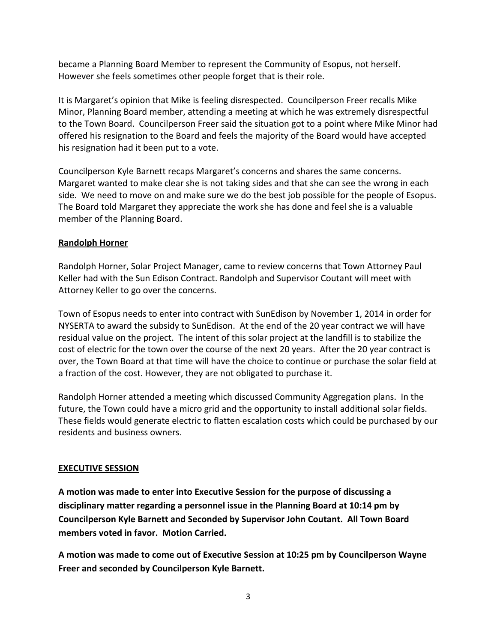became a Planning Board Member to represent the Community of Esopus, not herself. However she feels sometimes other people forget that is their role.

It is Margaret's opinion that Mike is feeling disrespected. Councilperson Freer recalls Mike Minor, Planning Board member, attending a meeting at which he was extremely disrespectful to the Town Board. Councilperson Freer said the situation got to a point where Mike Minor had offered his resignation to the Board and feels the majority of the Board would have accepted his resignation had it been put to a vote.

Councilperson Kyle Barnett recaps Margaret's concerns and shares the same concerns. Margaret wanted to make clear she is not taking sides and that she can see the wrong in each side. We need to move on and make sure we do the best job possible for the people of Esopus. The Board told Margaret they appreciate the work she has done and feel she is a valuable member of the Planning Board.

## **Randolph Horner**

Randolph Horner, Solar Project Manager, came to review concerns that Town Attorney Paul Keller had with the Sun Edison Contract. Randolph and Supervisor Coutant will meet with Attorney Keller to go over the concerns.

Town of Esopus needs to enter into contract with SunEdison by November 1, 2014 in order for NYSERTA to award the subsidy to SunEdison. At the end of the 20 year contract we will have residual value on the project. The intent of this solar project at the landfill is to stabilize the cost of electric for the town over the course of the next 20 years. After the 20 year contract is over, the Town Board at that time will have the choice to continue or purchase the solar field at a fraction of the cost. However, they are not obligated to purchase it.

Randolph Horner attended a meeting which discussed Community Aggregation plans. In the future, the Town could have a micro grid and the opportunity to install additional solar fields. These fields would generate electric to flatten escalation costs which could be purchased by our residents and business owners.

## **EXECUTIVE SESSION**

**A motion was made to enter into Executive Session for the purpose of discussing a disciplinary matter regarding a personnel issue in the Planning Board at 10:14 pm by Councilperson Kyle Barnett and Seconded by Supervisor John Coutant. All Town Board members voted in favor. Motion Carried.**

**A motion was made to come out of Executive Session at 10:25 pm by Councilperson Wayne Freer and seconded by Councilperson Kyle Barnett.**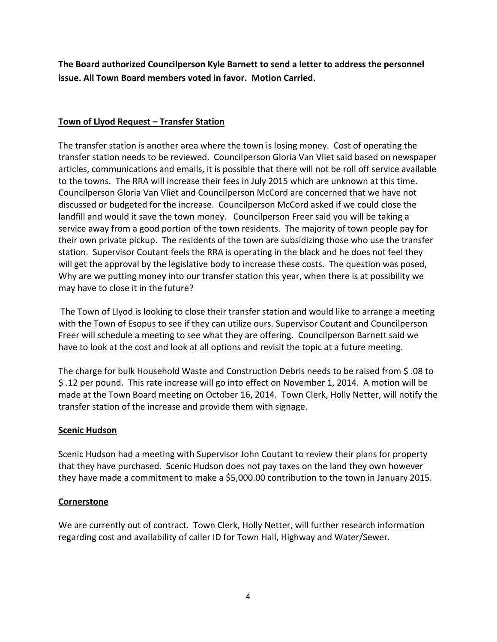**The Board authorized Councilperson Kyle Barnett to send a letter to address the personnel issue. All Town Board members voted in favor. Motion Carried.**

### **Town of Llyod Request – Transfer Station**

The transfer station is another area where the town is losing money. Cost of operating the transfer station needs to be reviewed. Councilperson Gloria Van Vliet said based on newspaper articles, communications and emails, it is possible that there will not be roll off service available to the towns. The RRA will increase their fees in July 2015 which are unknown at this time. Councilperson Gloria Van Vliet and Councilperson McCord are concerned that we have not discussed or budgeted for the increase. Councilperson McCord asked if we could close the landfill and would it save the town money. Councilperson Freer said you will be taking a service away from a good portion of the town residents. The majority of town people pay for their own private pickup. The residents of the town are subsidizing those who use the transfer station. Supervisor Coutant feels the RRA is operating in the black and he does not feel they will get the approval by the legislative body to increase these costs. The question was posed, Why are we putting money into our transfer station this year, when there is at possibility we may have to close it in the future?

The Town of Llyod is looking to close their transfer station and would like to arrange a meeting with the Town of Esopus to see if they can utilize ours. Supervisor Coutant and Councilperson Freer will schedule a meeting to see what they are offering. Councilperson Barnett said we have to look at the cost and look at all options and revisit the topic at a future meeting.

The charge for bulk Household Waste and Construction Debris needs to be raised from \$ .08 to \$ .12 per pound. This rate increase will go into effect on November 1, 2014. A motion will be made at the Town Board meeting on October 16, 2014. Town Clerk, Holly Netter, will notify the transfer station of the increase and provide them with signage.

#### **Scenic Hudson**

Scenic Hudson had a meeting with Supervisor John Coutant to review their plans for property that they have purchased. Scenic Hudson does not pay taxes on the land they own however they have made a commitment to make a \$5,000.00 contribution to the town in January 2015.

#### **Cornerstone**

We are currently out of contract. Town Clerk, Holly Netter, will further research information regarding cost and availability of caller ID for Town Hall, Highway and Water/Sewer.